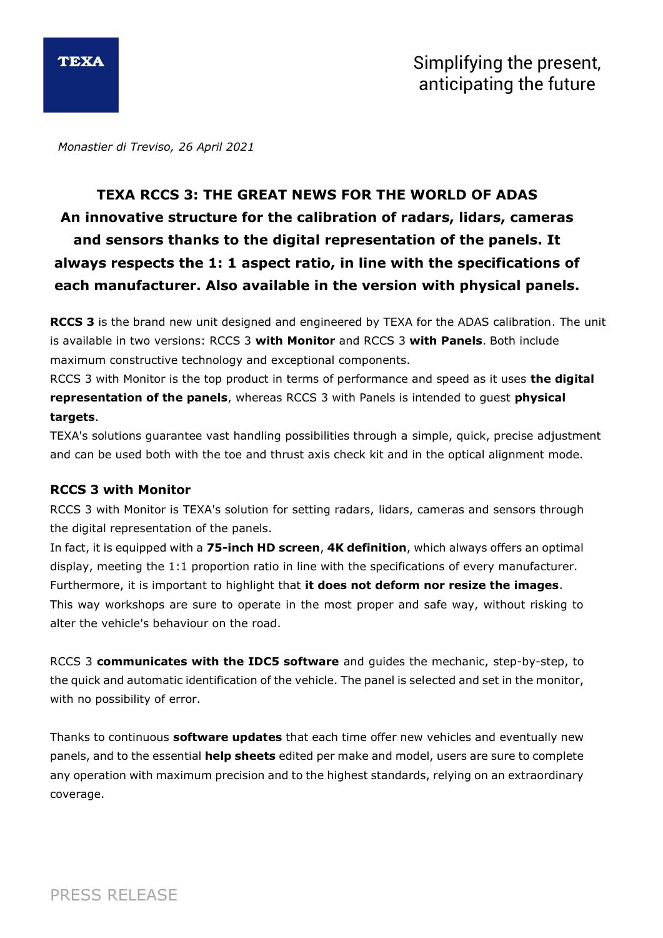

*Monastier di Treviso, 26 April 2021*

# **TEXA RCCS 3: THE GREAT NEWS FOR THE WORLD OF ADAS An innovative structure for the calibration of radars, lidars, cameras and sensors thanks to the digital representation of the panels. It always respects the 1: 1 aspect ratio, in line with the specifications of each manufacturer. Also available in the version with physical panels.**

**RCCS 3** is the brand new unit designed and engineered by TEXA for the ADAS calibration. The unit is available in two versions: RCCS 3 **with Monitor** and RCCS 3 **with Panels**. Both include maximum constructive technology and exceptional components.

RCCS 3 with Monitor is the top product in terms of performance and speed as it uses **the digital representation of the panels**, whereas RCCS 3 with Panels is intended to guest **physical targets**.

TEXA's solutions guarantee vast handling possibilities through a simple, quick, precise adjustment and can be used both with the toe and thrust axis check kit and in the optical alignment mode.

### **RCCS 3 with Monitor**

RCCS 3 with Monitor is TEXA's solution for setting radars, lidars, cameras and sensors through the digital representation of the panels.

In fact, it is equipped with a **75-inch HD screen**, **4K definition**, which always offers an optimal display, meeting the 1:1 proportion ratio in line with the specifications of every manufacturer. Furthermore, it is important to highlight that **it does not deform nor resize the images**. This way workshops are sure to operate in the most proper and safe way, without risking to alter the vehicle's behaviour on the road.

RCCS 3 **communicates with the IDC5 software** and guides the mechanic, step-by-step, to the quick and automatic identification of the vehicle. The panel is selected and set in the monitor, with no possibility of error.

Thanks to continuous **software updates** that each time offer new vehicles and eventually new panels, and to the essential **help sheets** edited per make and model, users are sure to complete any operation with maximum precision and to the highest standards, relying on an extraordinary coverage.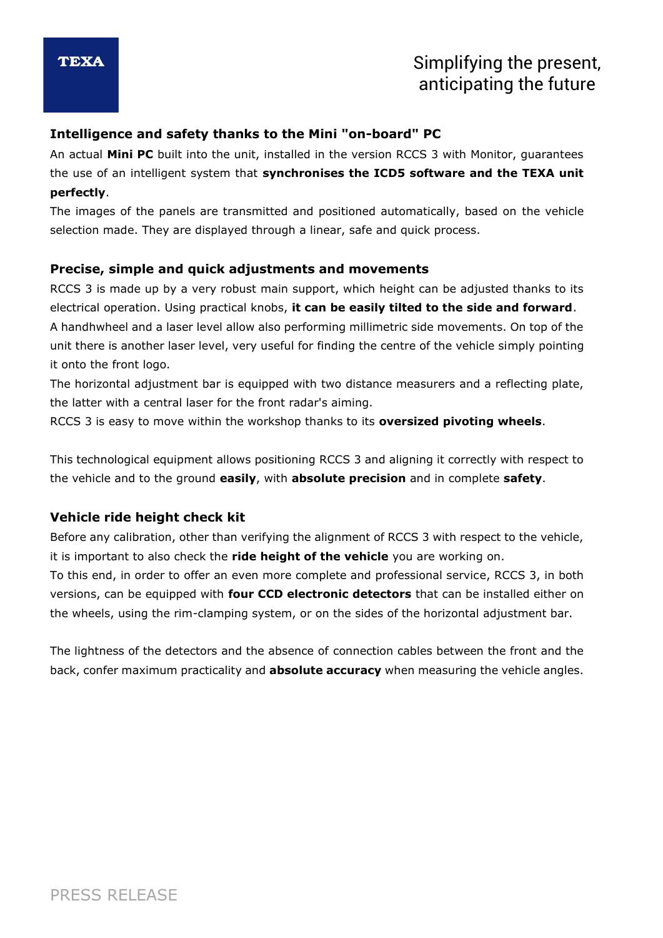## Simplifying the present, anticipating the future

## **Intelligence and safety thanks to the Mini "on-board" PC**

An actual **Mini PC** built into the unit, installed in the version RCCS 3 with Monitor, guarantees the use of an intelligent system that **synchronises the ICD5 software and the TEXA unit perfectly**.

The images of the panels are transmitted and positioned automatically, based on the vehicle selection made. They are displayed through a linear, safe and quick process.

### **Precise, simple and quick adjustments and movements**

RCCS 3 is made up by a very robust main support, which height can be adjusted thanks to its electrical operation. Using practical knobs, **it can be easily tilted to the side and forward**.

A handhwheel and a laser level allow also performing millimetric side movements. On top of the unit there is another laser level, very useful for finding the centre of the vehicle simply pointing it onto the front logo.

The horizontal adjustment bar is equipped with two distance measurers and a reflecting plate, the latter with a central laser for the front radar's aiming.

RCCS 3 is easy to move within the workshop thanks to its **oversized pivoting wheels**.

This technological equipment allows positioning RCCS 3 and aligning it correctly with respect to the vehicle and to the ground **easily**, with **absolute precision** and in complete **safety**.

## **Vehicle ride height check kit**

Before any calibration, other than verifying the alignment of RCCS 3 with respect to the vehicle, it is important to also check the **ride height of the vehicle** you are working on.

To this end, in order to offer an even more complete and professional service, RCCS 3, in both versions, can be equipped with **four CCD electronic detectors** that can be installed either on the wheels, using the rim-clamping system, or on the sides of the horizontal adjustment bar.

The lightness of the detectors and the absence of connection cables between the front and the back, confer maximum practicality and **absolute accuracy** when measuring the vehicle angles.